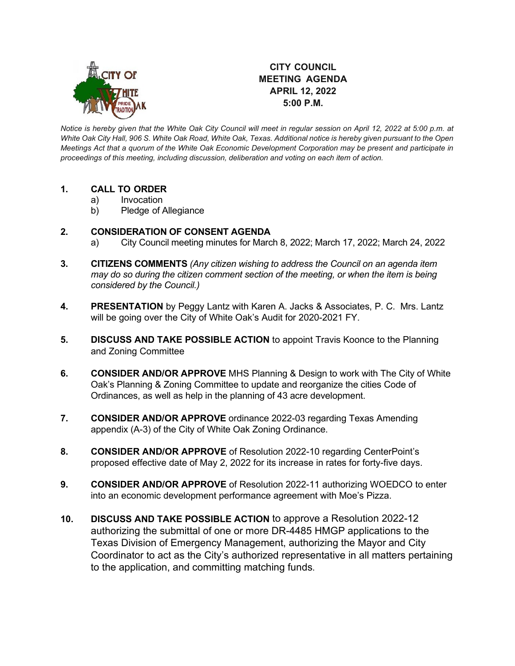

# **CITY COUNCIL MEETING AGENDA APRIL 12, 2022 5:00 P.M.**

*Notice is hereby given that the White Oak City Council will meet in regular session on April 12, 2022 at 5:00 p.m. at White Oak City Hall, 906 S. White Oak Road, White Oak, Texas. Additional notice is hereby given pursuant to the Open Meetings Act that a quorum of the White Oak Economic Development Corporation may be present and participate in proceedings of this meeting, including discussion, deliberation and voting on each item of action.* 

## **1. CALL TO ORDER**

- a) Invocation
- b) Pledge of Allegiance

## **2. CONSIDERATION OF CONSENT AGENDA**

- a) City Council meeting minutes for March 8, 2022; March 17, 2022; March 24, 2022
- **3. CITIZENS COMMENTS** *(Any citizen wishing to address the Council on an agenda item may do so during the citizen comment section of the meeting, or when the item is being considered by the Council.)*
- **4. PRESENTATION** by Peggy Lantz with Karen A. Jacks & Associates, P. C. Mrs. Lantz will be going over the City of White Oak's Audit for 2020-2021 FY.
- **5. DISCUSS AND TAKE POSSIBLE ACTION** to appoint Travis Koonce to the Planning and Zoning Committee
- **6. CONSIDER AND/OR APPROVE** MHS Planning & Design to work with The City of White Oak's Planning & Zoning Committee to update and reorganize the cities Code of Ordinances, as well as help in the planning of 43 acre development.
- **7. CONSIDER AND/OR APPROVE** ordinance 2022-03 regarding Texas Amending appendix (A-3) of the City of White Oak Zoning Ordinance.
- **8. CONSIDER AND/OR APPROVE** of Resolution 2022-10 regarding CenterPoint's proposed effective date of May 2, 2022 for its increase in rates for forty-five days.
- **9. CONSIDER AND/OR APPROVE** of Resolution 2022-11 authorizing WOEDCO to enter into an economic development performance agreement with Moe's Pizza.
- **10. DISCUSS AND TAKE POSSIBLE ACTION** to approve a Resolution 2022-12 authorizing the submittal of one or more DR-4485 HMGP applications to the Texas Division of Emergency Management, authorizing the Mayor and City Coordinator to act as the City's authorized representative in all matters pertaining to the application, and committing matching funds.